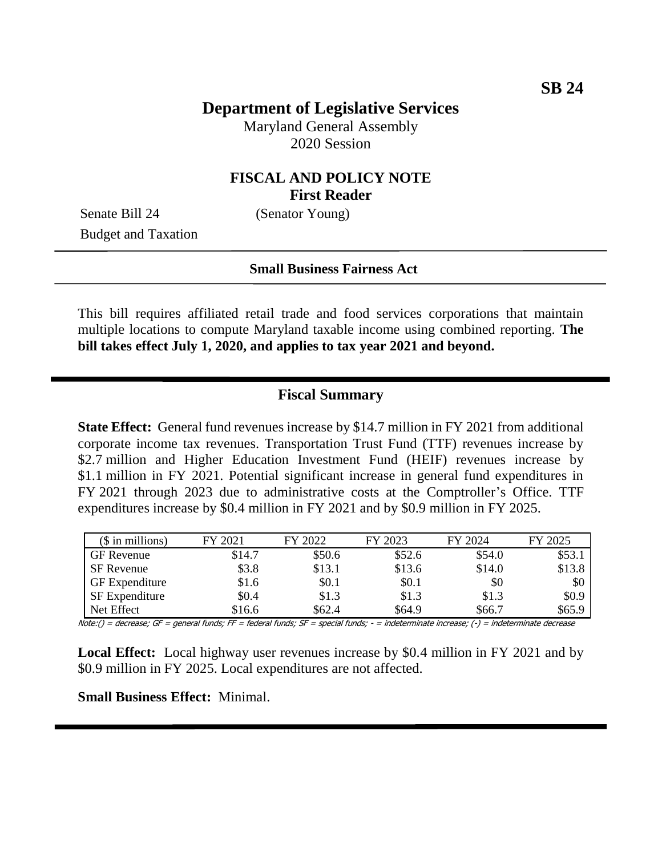# **Department of Legislative Services**

Maryland General Assembly 2020 Session

## **FISCAL AND POLICY NOTE First Reader**

Senate Bill 24 (Senator Young) Budget and Taxation

#### **Small Business Fairness Act**

This bill requires affiliated retail trade and food services corporations that maintain multiple locations to compute Maryland taxable income using combined reporting. **The bill takes effect July 1, 2020, and applies to tax year 2021 and beyond.**

#### **Fiscal Summary**

**State Effect:** General fund revenues increase by \$14.7 million in FY 2021 from additional corporate income tax revenues. Transportation Trust Fund (TTF) revenues increase by \$2.7 million and Higher Education Investment Fund (HEIF) revenues increase by \$1.1 million in FY 2021. Potential significant increase in general fund expenditures in FY 2021 through 2023 due to administrative costs at the Comptroller's Office. TTF expenditures increase by \$0.4 million in FY 2021 and by \$0.9 million in FY 2025.

| $($$ in millions)     | FY 2021 | FY 2022 | FY 2023 | FY 2024 | FY 2025 |
|-----------------------|---------|---------|---------|---------|---------|
| GF Revenue            | \$14.7  | \$50.6  | \$52.6  | \$54.0  | \$53.1  |
| <b>SF</b> Revenue     | \$3.8   | \$13.1  | \$13.6  | \$14.0  | \$13.8  |
| <b>GF</b> Expenditure | \$1.6   | \$0.1   | \$0.1   | \$0     | \$0     |
| SF Expenditure        | \$0.4   | \$1.3   | \$1.3   | \$1.3   | \$0.9   |
| Net Effect            | \$16.6  | \$62.4  | \$64.9  | \$66.7  | \$65.9  |

Note:() = decrease; GF = general funds; FF = federal funds; SF = special funds; - = indeterminate increase; (-) = indeterminate decrease

**Local Effect:** Local highway user revenues increase by \$0.4 million in FY 2021 and by \$0.9 million in FY 2025. Local expenditures are not affected.

**Small Business Effect:** Minimal.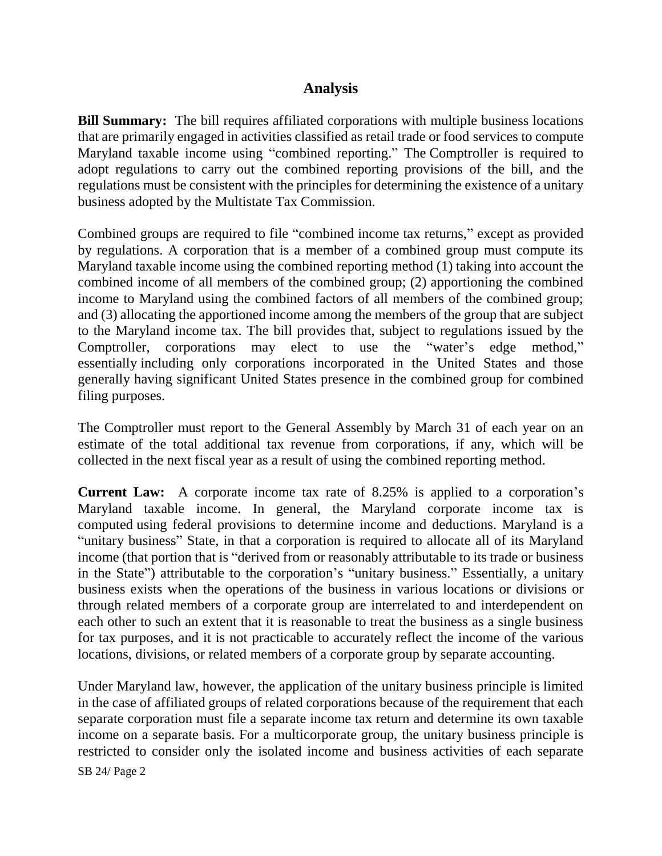## **Analysis**

**Bill Summary:** The bill requires affiliated corporations with multiple business locations that are primarily engaged in activities classified as retail trade or food services to compute Maryland taxable income using "combined reporting." The Comptroller is required to adopt regulations to carry out the combined reporting provisions of the bill, and the regulations must be consistent with the principles for determining the existence of a unitary business adopted by the Multistate Tax Commission.

Combined groups are required to file "combined income tax returns," except as provided by regulations. A corporation that is a member of a combined group must compute its Maryland taxable income using the combined reporting method (1) taking into account the combined income of all members of the combined group; (2) apportioning the combined income to Maryland using the combined factors of all members of the combined group; and (3) allocating the apportioned income among the members of the group that are subject to the Maryland income tax. The bill provides that, subject to regulations issued by the Comptroller, corporations may elect to use the "water's edge method," essentially including only corporations incorporated in the United States and those generally having significant United States presence in the combined group for combined filing purposes.

The Comptroller must report to the General Assembly by March 31 of each year on an estimate of the total additional tax revenue from corporations, if any, which will be collected in the next fiscal year as a result of using the combined reporting method.

**Current Law:** A corporate income tax rate of 8.25% is applied to a corporation's Maryland taxable income. In general, the Maryland corporate income tax is computed using federal provisions to determine income and deductions. Maryland is a "unitary business" State, in that a corporation is required to allocate all of its Maryland income (that portion that is "derived from or reasonably attributable to its trade or business in the State") attributable to the corporation's "unitary business." Essentially, a unitary business exists when the operations of the business in various locations or divisions or through related members of a corporate group are interrelated to and interdependent on each other to such an extent that it is reasonable to treat the business as a single business for tax purposes, and it is not practicable to accurately reflect the income of the various locations, divisions, or related members of a corporate group by separate accounting.

Under Maryland law, however, the application of the unitary business principle is limited in the case of affiliated groups of related corporations because of the requirement that each separate corporation must file a separate income tax return and determine its own taxable income on a separate basis. For a multicorporate group, the unitary business principle is restricted to consider only the isolated income and business activities of each separate

SB 24/ Page 2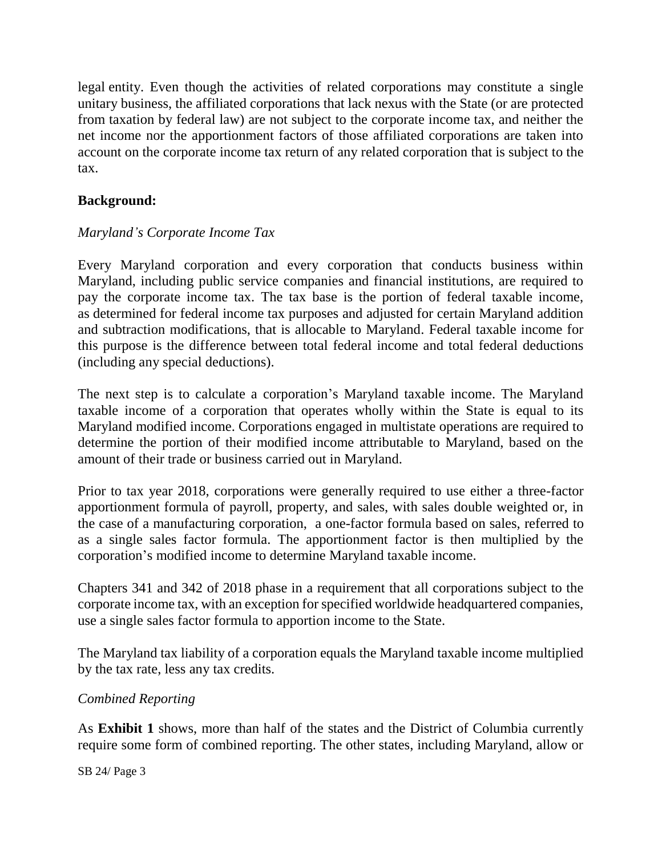legal entity. Even though the activities of related corporations may constitute a single unitary business, the affiliated corporations that lack nexus with the State (or are protected from taxation by federal law) are not subject to the corporate income tax, and neither the net income nor the apportionment factors of those affiliated corporations are taken into account on the corporate income tax return of any related corporation that is subject to the tax.

## **Background:**

### *Maryland's Corporate Income Tax*

Every Maryland corporation and every corporation that conducts business within Maryland, including public service companies and financial institutions, are required to pay the corporate income tax. The tax base is the portion of federal taxable income, as determined for federal income tax purposes and adjusted for certain Maryland addition and subtraction modifications, that is allocable to Maryland. Federal taxable income for this purpose is the difference between total federal income and total federal deductions (including any special deductions).

The next step is to calculate a corporation's Maryland taxable income. The Maryland taxable income of a corporation that operates wholly within the State is equal to its Maryland modified income. Corporations engaged in multistate operations are required to determine the portion of their modified income attributable to Maryland, based on the amount of their trade or business carried out in Maryland.

Prior to tax year 2018, corporations were generally required to use either a three-factor apportionment formula of payroll, property, and sales, with sales double weighted or, in the case of a manufacturing corporation, a one-factor formula based on sales, referred to as a single sales factor formula. The apportionment factor is then multiplied by the corporation's modified income to determine Maryland taxable income.

Chapters 341 and 342 of 2018 phase in a requirement that all corporations subject to the corporate income tax, with an exception for specified worldwide headquartered companies, use a single sales factor formula to apportion income to the State.

The Maryland tax liability of a corporation equals the Maryland taxable income multiplied by the tax rate, less any tax credits.

### *Combined Reporting*

As **Exhibit 1** shows, more than half of the states and the District of Columbia currently require some form of combined reporting. The other states, including Maryland, allow or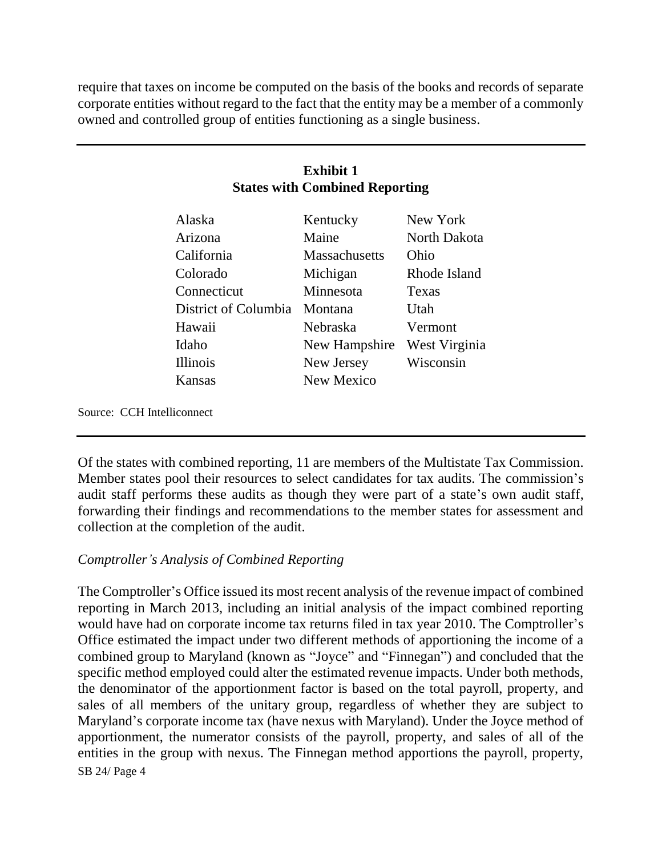require that taxes on income be computed on the basis of the books and records of separate corporate entities without regard to the fact that the entity may be a member of a commonly owned and controlled group of entities functioning as a single business.

## **Exhibit 1 States with Combined Reporting**

| Alaska               | Kentucky             | New York      |
|----------------------|----------------------|---------------|
| Arizona              | Maine                | North Dakota  |
| California           | <b>Massachusetts</b> | Ohio          |
| Colorado             | Michigan             | Rhode Island  |
| Connecticut          | Minnesota            | Texas         |
| District of Columbia | Montana              | Utah          |
| Hawaii               | Nebraska             | Vermont       |
| Idaho                | New Hampshire        | West Virginia |
| <b>Illinois</b>      | New Jersey           | Wisconsin     |
| Kansas               | New Mexico           |               |
|                      |                      |               |

Source: CCH Intelliconnect

Of the states with combined reporting, 11 are members of the Multistate Tax Commission. Member states pool their resources to select candidates for tax audits. The commission's audit staff performs these audits as though they were part of a state's own audit staff, forwarding their findings and recommendations to the member states for assessment and collection at the completion of the audit.

### *Comptroller's Analysis of Combined Reporting*

SB 24/ Page 4 The Comptroller's Office issued its most recent analysis of the revenue impact of combined reporting in March 2013, including an initial analysis of the impact combined reporting would have had on corporate income tax returns filed in tax year 2010. The Comptroller's Office estimated the impact under two different methods of apportioning the income of a combined group to Maryland (known as "Joyce" and "Finnegan") and concluded that the specific method employed could alter the estimated revenue impacts. Under both methods, the denominator of the apportionment factor is based on the total payroll, property, and sales of all members of the unitary group, regardless of whether they are subject to Maryland's corporate income tax (have nexus with Maryland). Under the Joyce method of apportionment, the numerator consists of the payroll, property, and sales of all of the entities in the group with nexus. The Finnegan method apportions the payroll, property,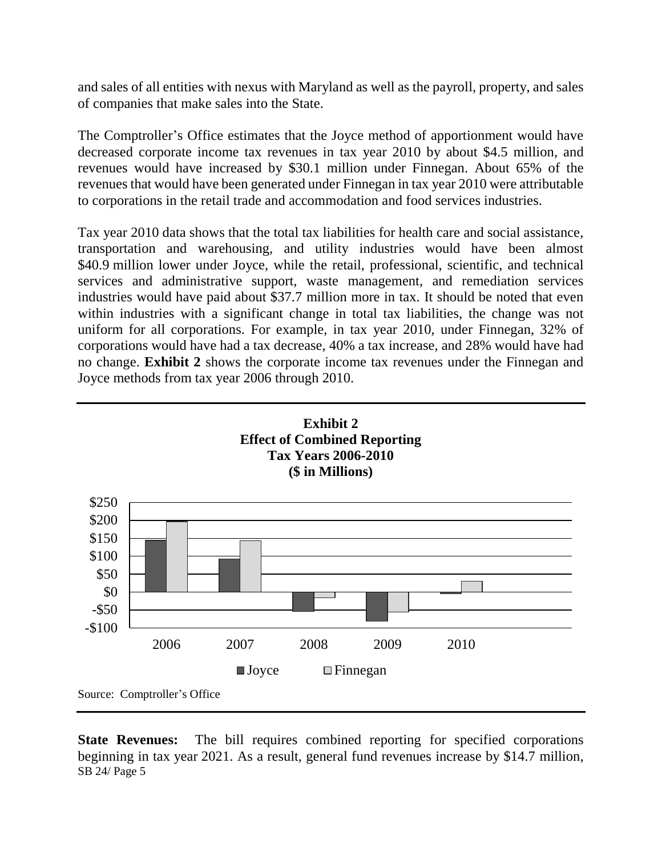and sales of all entities with nexus with Maryland as well as the payroll, property, and sales of companies that make sales into the State.

The Comptroller's Office estimates that the Joyce method of apportionment would have decreased corporate income tax revenues in tax year 2010 by about \$4.5 million, and revenues would have increased by \$30.1 million under Finnegan. About 65% of the revenues that would have been generated under Finnegan in tax year 2010 were attributable to corporations in the retail trade and accommodation and food services industries.

Tax year 2010 data shows that the total tax liabilities for health care and social assistance, transportation and warehousing, and utility industries would have been almost \$40.9 million lower under Joyce, while the retail, professional, scientific, and technical services and administrative support, waste management, and remediation services industries would have paid about \$37.7 million more in tax. It should be noted that even within industries with a significant change in total tax liabilities, the change was not uniform for all corporations. For example, in tax year 2010, under Finnegan, 32% of corporations would have had a tax decrease, 40% a tax increase, and 28% would have had no change. **Exhibit 2** shows the corporate income tax revenues under the Finnegan and Joyce methods from tax year 2006 through 2010.



SB 24/ Page 5 **State Revenues:** The bill requires combined reporting for specified corporations beginning in tax year 2021. As a result, general fund revenues increase by \$14.7 million,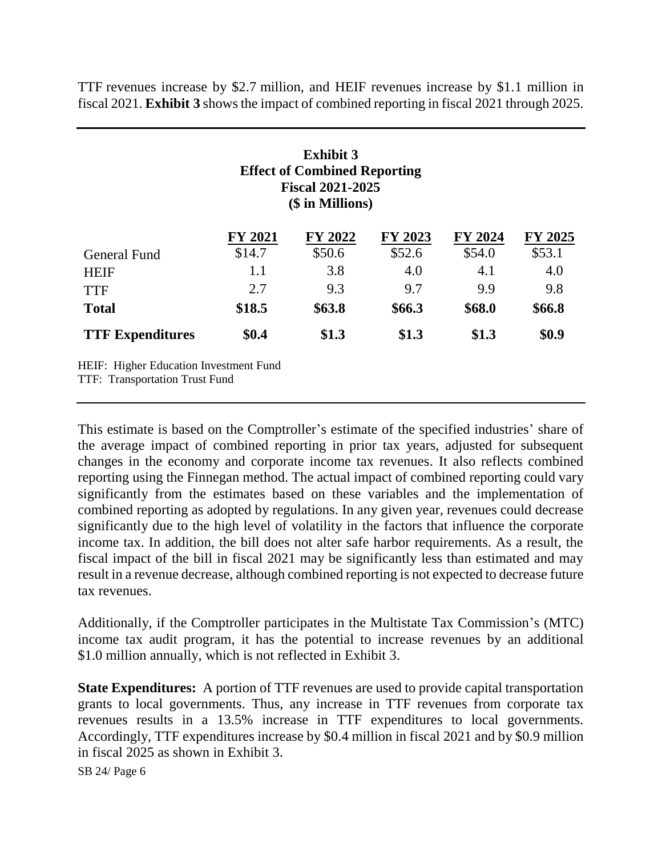TTF revenues increase by \$2.7 million, and HEIF revenues increase by \$1.1 million in fiscal 2021. **Exhibit 3** shows the impact of combined reporting in fiscal 2021 through 2025.

|                                                                                 |                | <b>Exhibit 3</b><br><b>Effect of Combined Reporting</b><br><b>Fiscal 2021-2025</b><br>(\$ in Millions) |         |         |         |
|---------------------------------------------------------------------------------|----------------|--------------------------------------------------------------------------------------------------------|---------|---------|---------|
|                                                                                 | <b>FY 2021</b> | FY 2022                                                                                                | FY 2023 | FY 2024 | FY 2025 |
| General Fund                                                                    | \$14.7         | \$50.6                                                                                                 | \$52.6  | \$54.0  | \$53.1  |
| <b>HEIF</b>                                                                     | 1.1            | 3.8                                                                                                    | 4.0     | 4.1     | 4.0     |
| <b>TTF</b>                                                                      | 2.7            | 9.3                                                                                                    | 9.7     | 9.9     | 9.8     |
| <b>Total</b>                                                                    | \$18.5         | \$63.8                                                                                                 | \$66.3  | \$68.0  | \$66.8  |
| <b>TTF Expenditures</b>                                                         | \$0.4          | \$1.3                                                                                                  | \$1.3   | \$1.3   | \$0.9   |
| HEIF: Higher Education Investment Fund<br><b>TTF: Transportation Trust Fund</b> |                |                                                                                                        |         |         |         |

This estimate is based on the Comptroller's estimate of the specified industries' share of the average impact of combined reporting in prior tax years, adjusted for subsequent changes in the economy and corporate income tax revenues. It also reflects combined reporting using the Finnegan method. The actual impact of combined reporting could vary significantly from the estimates based on these variables and the implementation of combined reporting as adopted by regulations. In any given year, revenues could decrease significantly due to the high level of volatility in the factors that influence the corporate income tax. In addition, the bill does not alter safe harbor requirements. As a result, the fiscal impact of the bill in fiscal 2021 may be significantly less than estimated and may result in a revenue decrease, although combined reporting is not expected to decrease future tax revenues.

Additionally, if the Comptroller participates in the Multistate Tax Commission's (MTC) income tax audit program, it has the potential to increase revenues by an additional \$1.0 million annually, which is not reflected in Exhibit 3.

**State Expenditures:** A portion of TTF revenues are used to provide capital transportation grants to local governments. Thus, any increase in TTF revenues from corporate tax revenues results in a 13.5% increase in TTF expenditures to local governments. Accordingly, TTF expenditures increase by \$0.4 million in fiscal 2021 and by \$0.9 million in fiscal 2025 as shown in Exhibit 3.

SB 24/ Page 6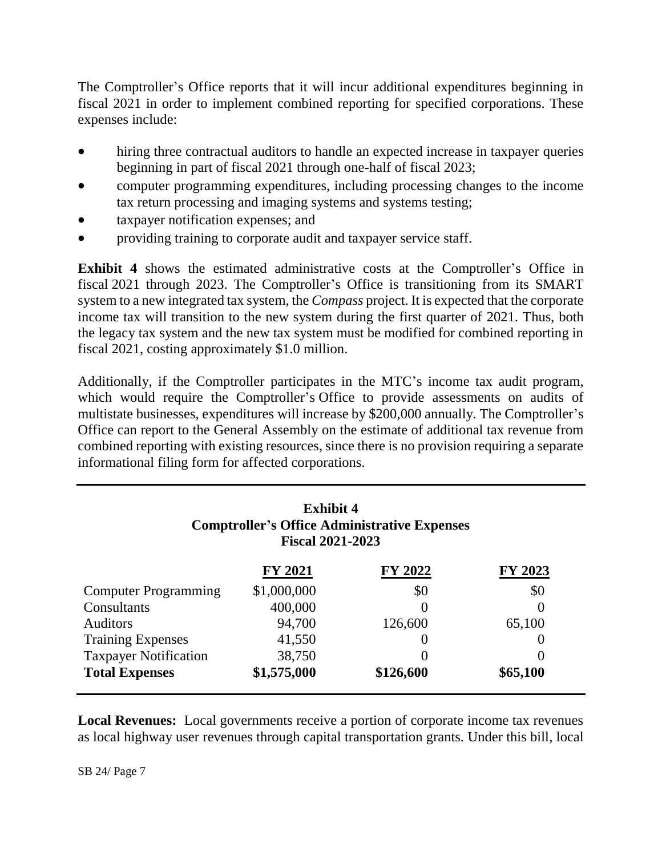The Comptroller's Office reports that it will incur additional expenditures beginning in fiscal 2021 in order to implement combined reporting for specified corporations. These expenses include:

- hiring three contractual auditors to handle an expected increase in taxpayer queries beginning in part of fiscal 2021 through one-half of fiscal 2023;
- computer programming expenditures, including processing changes to the income tax return processing and imaging systems and systems testing;
- taxpayer notification expenses; and
- providing training to corporate audit and taxpayer service staff.

**Exhibit 4** shows the estimated administrative costs at the Comptroller's Office in fiscal 2021 through 2023. The Comptroller's Office is transitioning from its SMART system to a new integrated tax system, the *Compass* project. It is expected that the corporate income tax will transition to the new system during the first quarter of 2021. Thus, both the legacy tax system and the new tax system must be modified for combined reporting in fiscal 2021, costing approximately \$1.0 million.

Additionally, if the Comptroller participates in the MTC's income tax audit program, which would require the Comptroller's Office to provide assessments on audits of multistate businesses, expenditures will increase by \$200,000 annually. The Comptroller's Office can report to the General Assembly on the estimate of additional tax revenue from combined reporting with existing resources, since there is no provision requiring a separate informational filing form for affected corporations.

| <b>Exhibit 4</b><br><b>Comptroller's Office Administrative Expenses</b><br><b>Fiscal 2021-2023</b> |                |                |                  |  |  |  |
|----------------------------------------------------------------------------------------------------|----------------|----------------|------------------|--|--|--|
|                                                                                                    | <b>FY 2021</b> | FY 2022        | FY 2023          |  |  |  |
| <b>Computer Programming</b>                                                                        | \$1,000,000    | \$0            | \$0              |  |  |  |
| Consultants                                                                                        | 400,000        | $\overline{0}$ | 0                |  |  |  |
| <b>Auditors</b>                                                                                    | 94,700         | 126,600        | 65,100           |  |  |  |
| <b>Training Expenses</b>                                                                           | 41,550         |                | 0                |  |  |  |
| <b>Taxpayer Notification</b>                                                                       | 38,750         |                | $\left( \right)$ |  |  |  |
| <b>Total Expenses</b>                                                                              | \$1,575,000    | \$126,600      | \$65,100         |  |  |  |

**Local Revenues:** Local governments receive a portion of corporate income tax revenues as local highway user revenues through capital transportation grants. Under this bill, local